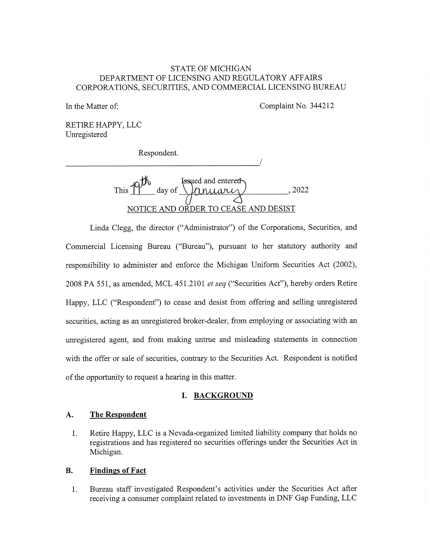# STATE OF MICHIGAN DEPARTMENT OF LICENSING AND REGULATORY AFFAIRS CORPORATIONS, SECURITIES, AND COMMERCIAL LICENSING BUREAU

In the Matter of: Complaint No. 344212

RETIRE HAPPY, LLC Unregistered

Respondent.

This  $\uparrow$ Issued and entere<del>d</del> day of  $\lvert$   $\lvert$   $\lvert$   $\lvert$   $\lvert$   $\lvert$   $\lvert$   $\lvert$   $\lvert$   $\lvert$   $\lvert$   $\lvert$   $\lvert$   $\lvert$   $\lvert$   $\lvert$   $\lvert$   $\lvert$   $\lvert$   $\lvert$   $\lvert$   $\lvert$   $\lvert$   $\lvert$   $\lvert$   $\lvert$   $\lvert$   $\lvert$   $\lvert$   $\lvert$   $\lvert$   $\lvert$   $\lvert$   $\lvert$   $\lvert$   $\lvert$ NOTICE AND ORDER TO CEASE AND DESIST

Linda Clegg, the director ("Administrator") of the Corporations, Securities, and Commercial Licensing Bureau ("Bureau"), pursuant to her statutory authority and responsibility to administer and enforce the Michigan Uniform Securities Act (2002), 2008 PA 551, as amended, MCL 451.2101 et seq ("Securities Act"), hereby orders Retire Happy, LLC ("Respondent") to cease and desist from offering and selling unregistered securities, acting as an unregistered broker-dealer, from employing or associating with an unregistered agent, and from making untrue and misleading statements in connection with the offer or sale of securities, contrary to the Securities Act. Respondent is notified of the opportunity to request a hearing in this matter.

#### I. BACKGROUND

## A. The Respondent

1. Retire Happy, LLC is a Nevada-organized limited liability company that holds no registrations and has registered no securities offerings under the Securities Act in Michigan.

### B. Findings of Fact

1. Bureau staff investigated Respondent's activities under the Securities Act after receiving a consumer complaint related to investments in DNF Gap Funding, LLC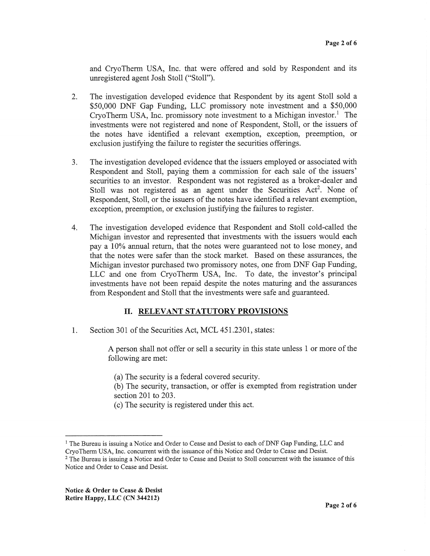and CryoTherm USA, Inc. that were offered and sold by Respondent and its unregistered agent Josh Stoll ("Stoll").

- 2. The investigation developed evidence that Respondent by its agent Stoll sold a \$50,000 DNF Gap Funding, LLC promissory note investment and a \$50,000 CryoTherm USA, Inc. promissory note investment to a Michigan investor.' The investments were not registered and none of Respondent, Stoll, or the issuers of the notes have identified a relevant exemption, exception, preemption, or exclusion justifying the failure to register the securities offerings.
- 3. The investigation developed evidence that the issuers employed or associated with Respondent and Stoll, paying them a commission for each sale of the issuers' securities to an investor. Respondent was not registered as a broker-dealer and Stoll was not registered as an agent under the Securities Act<sup>2</sup>. None of Respondent, Stoll, or the issuers of the notes have identified a relevant exemption, exception, preemption, or exclusion justifying the failures to register.
- 4. The investigation developed evidence that Respondent and Stoll cold-called the Michigan investor and represented that investments with the issuers would each pay a 10% annual return, that the notes were guaranteed not to lose money, and that the notes were safer than the stock market. Based on these assurances, the Michigan investor purchased two promissory notes, one from DNF Gap Funding, LLC and one from CryoThem' USA, Inc. To date, the investor's principal investments have not been repaid despite the notes maturing and the assurances from Respondent and Stoll that the investments were safe and guaranteed.

### II. RELEVANT STATUTORY PROVISIONS

1. Section 301 of the Securities Act, MCL 451.2301, states:

A person shall not offer or sell a security in this state unless 1 or more of the following are met:

(a) The security is a federal covered security.

(b) The security, transaction, or offer is exempted from registration under section 201 to 203.

(c) The security is registered under this act.

<sup>&</sup>lt;sup>1</sup> The Bureau is issuing a Notice and Order to Cease and Desist to each of DNF Gap Funding, LLC and CryoTherm USA, Inc. concurrent with the issuance of this Notice and Order to Cease and Desist.

<sup>&</sup>lt;sup>2</sup> The Bureau is issuing a Notice and Order to Cease and Desist to Stoll concurrent with the issuance of this Notice and Order to Cease and Desist.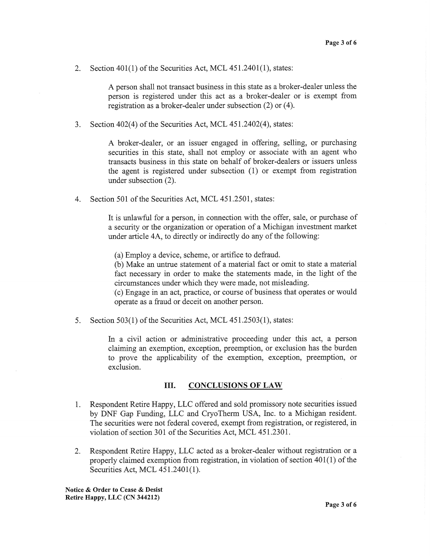2. Section 401(1) of the Securities Act, MCL 451.2401(1), states:

A person shall not transact business in this state as a broker-dealer unless the person is registered under this act as a broker-dealer or is exempt from registration as a broker-dealer under subsection (2) or (4).

3. Section 402(4) of the Securities Act, MCL 451.2402(4), states:

A broker-dealer, or an issuer engaged in offering, selling, or purchasing securities in this state, shall not employ or associate with an agent who transacts business in this state on behalf of broker-dealers or issuers unless the agent is registered under subsection (1) or exempt from registration under subsection (2).

4. Section 501 of the Securities Act, MCL 451.2501, states:

It is unlawful for a person, in connection with the offer, sale, or purchase of a security or the organization or operation of a Michigan investment market under article 4A, to directly or indirectly do any of the following:

(a) Employ a device, scheme, or artifice to defraud.

(b) Make an untrue statement of a material fact or omit to state a material fact necessary in order to make the statements made, in the light of the circumstances under which they were made, not misleading.

(c) Engage in an act, practice, or course of business that operates or would operate as a fraud or deceit on another person.

5. Section 503(1) of the Securities Act, MCL 451.2503(1), states:

In a civil action or administrative proceeding under this act, a person claiming an exemption, exception, preemption, or exclusion has the burden to prove the applicability of the exemption, exception, preemption, or exclusion.

#### III. CONCLUSIONS OF LAW

- 1. Respondent Retire Happy, LLC offered and sold promissory note securities issued by DNF Gap Funding, LLC and CryoTherm USA, Inc. to a Michigan resident. The securities were not federal covered, exempt from registration, or registered, in violation of section 301 of the Securities Act, MCL 451.2301.
- 2. Respondent Retire Happy, LLC acted as a broker-dealer without registration or a properly claimed exemption from registration, in violation of section 401(1) of the Securities Act, MCL 451.2401(1).

Notice & Order to Cease & Desist Retire Happy, LLC (CN 344212)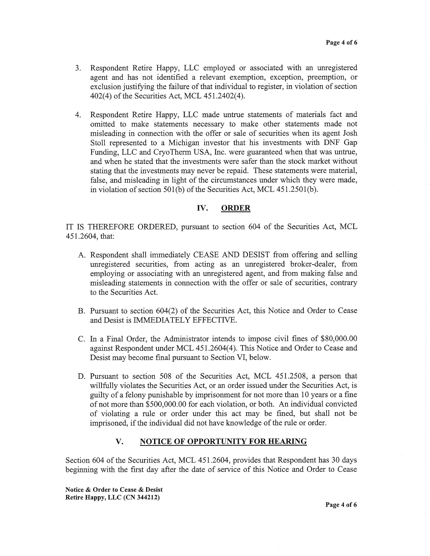- 3. Respondent Retire Happy, LLC employed or associated with an unregistered agent and has not identified a relevant exemption, exception, preemption, or exclusion justifying the failure of that individual to register, in violation of section 402(4) of the Securities Act, MCL 451.2402(4).
- 4. Respondent Retire Happy, LLC made untrue statements of materials fact and omitted to make statements necessary to make other statements made not misleading in connection with the offer or sale of securities when its agent Josh Stoll represented to a Michigan investor that his investments with DNF Gap Funding, LLC and CryoTherm USA, Inc. were guaranteed when that was untrue, and when he stated that the investments were safer than the stock market without stating that the investments may never be repaid. These statements were material, false, and misleading in light of the circumstances under which they were made, in violation of section 501(b) of the Securities Act, MCL 451.2501(b).

#### IV. ORDER

IT IS THEREFORE ORDERED, pursuant to section 604 of the Securities Act, MCL 451.2604, that:

- A. Respondent shall immediately CEASE AND DESIST from offering and selling unregistered securities, from acting as an unregistered broker-dealer, from employing or associating with an unregistered agent, and from making false and misleading statements in connection with the offer or sale of securities, contrary to the Securities Act.
- B. Pursuant to section 604(2) of the Securities Act, this Notice and Order to Cease and Desist is IMMEDIATELY EFFECTIVE.
- C. In a Final Order, the Administrator intends to impose civil fines of \$80,000.00 against Respondent under MCL 451.2604(4). This Notice and Order to Cease and Desist may become final pursuant to Section VI, below.
- D. Pursuant to section 508 of the Securities Act, MCL 451.2508, a person that willfully violates the Securities Act, or an order issued under the Securities Act, is guilty of a felony punishable by imprisonment for not more than 10 years or a fine of not more than \$500,000.00 for each violation, or both. An individual convicted of violating a rule or order under this act may be fined, but shall not be imprisoned, if the individual did not have knowledge of the rule or order.

### V. NOTICE OF OPPORTUNITY FOR HEARING

Section 604 of the Securities Act, MCL 451.2604, provides that Respondent has 30 days beginning with the first day after the date of service of this Notice and Order to Cease

Notice & Order to Cease & Desist Retire Happy, LLC (CN 344212)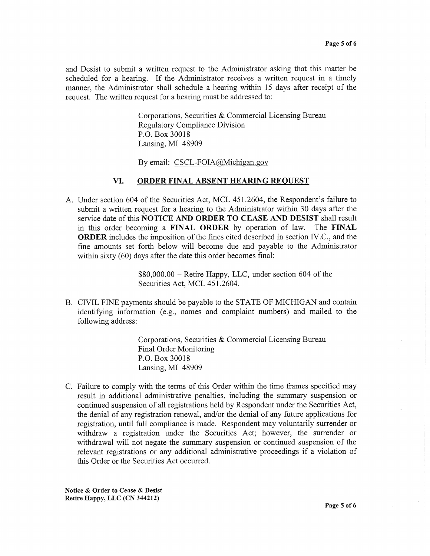and Desist to submit a written request to the Administrator asking that this matter be scheduled for a hearing. If the Administrator receives a written request in a timely manner, the Administrator shall schedule a hearing within 15 days after receipt of the request. The written request for a hearing must be addressed to:

> Corporations, Securities & Commercial Licensing Bureau Regulatory Compliance Division P.O. Box 30018 Lansing, MI 48909

By email: CSCL-FOIA@Michigan.gov

#### VI. ORDER FINAL ABSENT HEARING REQUEST

A. Under section 604 of the Securities Act, MCL 451.2604, the Respondent's failure to submit a written request for a hearing to the Administrator within 30 days after the service date of this NOTICE AND ORDER TO CEASE AND DESIST shall result in this order becoming a FINAL ORDER by operation of law. The FINAL ORDER includes the imposition of the fines cited described in section IV.C., and the fine amounts set forth below will become due and payable to the Administrator within sixty (60) days after the date this order becomes final:

> \$80,000.00 — Retire Happy, LLC, under section 604 of the Securities Act, MCL 451.2604.

B. CIVIL FINE payments should be payable to the STATE OF MICHIGAN and contain identifying information (e.g., names and complaint numbers) and mailed to the following address:

> Corporations, Securities & Commercial Licensing Bureau Final Order Monitoring P.O. Box 30018 Lansing, MI 48909

C. Failure to comply with the terms of this Order within the time frames specified may result in additional administrative penalties, including the summary suspension or continued suspension of all registrations held by Respondent under the Securities Act, the denial of any registration renewal, and/or the denial of any future applications for registration, until full compliance is made. Respondent may voluntarily surrender or withdraw a registration under the Securities Act; however, the surrender or withdrawal will not negate the summary suspension or continued suspension of the relevant registrations or any additional administrative proceedings if a violation of this Order or the Securities Act occurred.

Notice & Order to Cease & Desist Retire Happy, LLC (CN 344212)